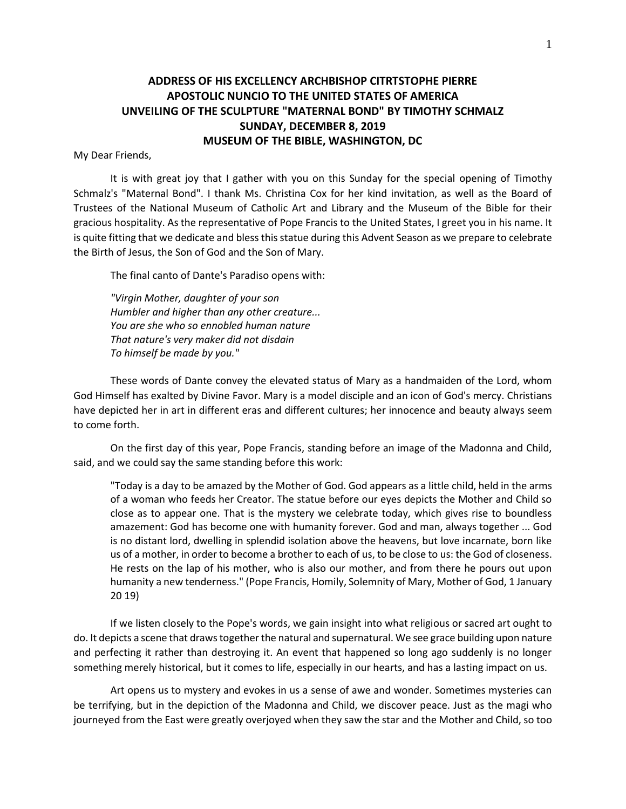## **ADDRESS OF HIS EXCELLENCY ARCHBISHOP CITRTSTOPHE PIERRE APOSTOLIC NUNCIO TO THE UNITED STATES OF AMERICA UNVEILING OF THE SCULPTURE "MATERNAL BOND" BY TIMOTHY SCHMALZ SUNDAY, DECEMBER 8, 2019 MUSEUM OF THE BIBLE, WASHINGTON, DC**

## My Dear Friends,

It is with great joy that I gather with you on this Sunday for the special opening of Timothy Schmalz's "Maternal Bond". I thank Ms. Christina Cox for her kind invitation, as well as the Board of Trustees of the National Museum of Catholic Art and Library and the Museum of the Bible for their gracious hospitality. As the representative of Pope Francis to the United States, I greet you in his name. It is quite fitting that we dedicate and bless this statue during this Advent Season as we prepare to celebrate the Birth of Jesus, the Son of God and the Son of Mary.

The final canto of Dante's Paradiso opens with:

*"Virgin Mother, daughter of your son Humbler and higher than any other creature... You are she who so ennobled human nature That nature's very maker did not disdain To himself be made by you."*

These words of Dante convey the elevated status of Mary as a handmaiden of the Lord, whom God Himself has exalted by Divine Favor. Mary is a model disciple and an icon of God's mercy. Christians have depicted her in art in different eras and different cultures; her innocence and beauty always seem to come forth.

On the first day of this year, Pope Francis, standing before an image of the Madonna and Child, said, and we could say the same standing before this work:

"Today is a day to be amazed by the Mother of God. God appears as a little child, held in the arms of a woman who feeds her Creator. The statue before our eyes depicts the Mother and Child so close as to appear one. That is the mystery we celebrate today, which gives rise to boundless amazement: God has become one with humanity forever. God and man, always together ... God is no distant lord, dwelling in splendid isolation above the heavens, but love incarnate, born like us of a mother, in order to become a brother to each of us, to be close to us: the God of closeness. He rests on the lap of his mother, who is also our mother, and from there he pours out upon humanity a new tenderness." (Pope Francis, Homily, Solemnity of Mary, Mother of God, 1 January 20 19)

If we listen closely to the Pope's words, we gain insight into what religious or sacred art ought to do. It depicts a scene that draws together the natural and supernatural. We see grace building upon nature and perfecting it rather than destroying it. An event that happened so long ago suddenly is no longer something merely historical, but it comes to life, especially in our hearts, and has a lasting impact on us.

Art opens us to mystery and evokes in us a sense of awe and wonder. Sometimes mysteries can be terrifying, but in the depiction of the Madonna and Child, we discover peace. Just as the magi who journeyed from the East were greatly overjoyed when they saw the star and the Mother and Child, so too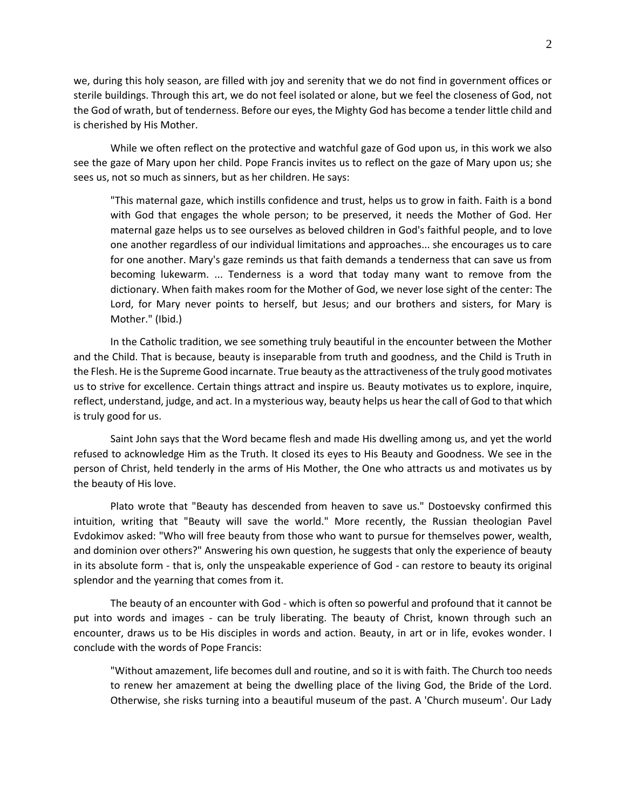we, during this holy season, are filled with joy and serenity that we do not find in government offices or sterile buildings. Through this art, we do not feel isolated or alone, but we feel the closeness of God, not the God of wrath, but of tenderness. Before our eyes, the Mighty God has become a tender little child and is cherished by His Mother.

While we often reflect on the protective and watchful gaze of God upon us, in this work we also see the gaze of Mary upon her child. Pope Francis invites us to reflect on the gaze of Mary upon us; she sees us, not so much as sinners, but as her children. He says:

"This maternal gaze, which instills confidence and trust, helps us to grow in faith. Faith is a bond with God that engages the whole person; to be preserved, it needs the Mother of God. Her maternal gaze helps us to see ourselves as beloved children in God's faithful people, and to love one another regardless of our individual limitations and approaches... she encourages us to care for one another. Mary's gaze reminds us that faith demands a tenderness that can save us from becoming lukewarm. ... Tenderness is a word that today many want to remove from the dictionary. When faith makes room for the Mother of God, we never lose sight of the center: The Lord, for Mary never points to herself, but Jesus; and our brothers and sisters, for Mary is Mother." (Ibid.)

In the Catholic tradition, we see something truly beautiful in the encounter between the Mother and the Child. That is because, beauty is inseparable from truth and goodness, and the Child is Truth in the Flesh. He is the Supreme Good incarnate. True beauty as the attractiveness of the truly good motivates us to strive for excellence. Certain things attract and inspire us. Beauty motivates us to explore, inquire, reflect, understand, judge, and act. In a mysterious way, beauty helps us hear the call of God to that which is truly good for us.

Saint John says that the Word became flesh and made His dwelling among us, and yet the world refused to acknowledge Him as the Truth. It closed its eyes to His Beauty and Goodness. We see in the person of Christ, held tenderly in the arms of His Mother, the One who attracts us and motivates us by the beauty of His love.

Plato wrote that "Beauty has descended from heaven to save us." Dostoevsky confirmed this intuition, writing that "Beauty will save the world." More recently, the Russian theologian Pavel Evdokimov asked: "Who will free beauty from those who want to pursue for themselves power, wealth, and dominion over others?" Answering his own question, he suggests that only the experience of beauty in its absolute form - that is, only the unspeakable experience of God - can restore to beauty its original splendor and the yearning that comes from it.

The beauty of an encounter with God - which is often so powerful and profound that it cannot be put into words and images - can be truly liberating. The beauty of Christ, known through such an encounter, draws us to be His disciples in words and action. Beauty, in art or in life, evokes wonder. I conclude with the words of Pope Francis:

"Without amazement, life becomes dull and routine, and so it is with faith. The Church too needs to renew her amazement at being the dwelling place of the living God, the Bride of the Lord. Otherwise, she risks turning into a beautiful museum of the past. A 'Church museum'. Our Lady